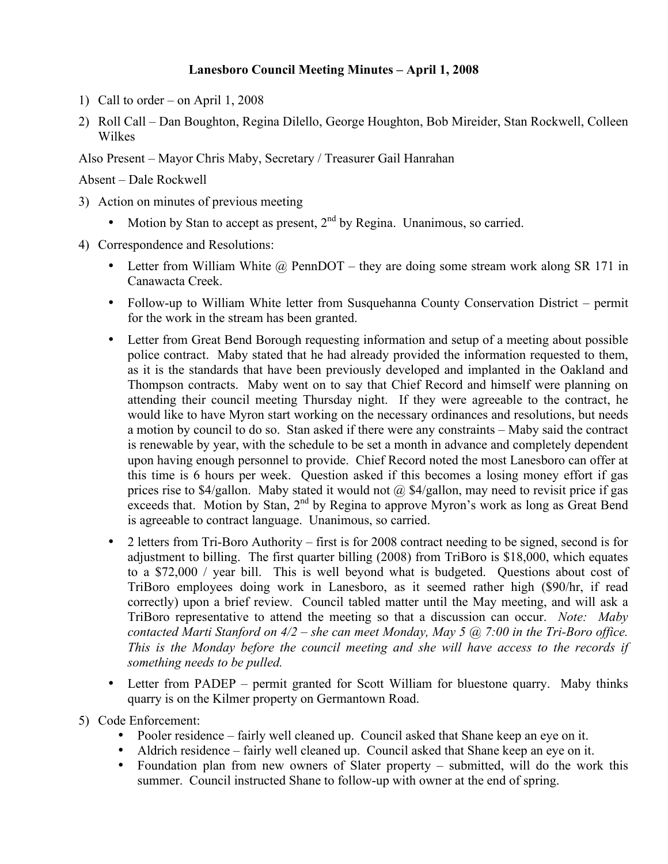## **Lanesboro Council Meeting Minutes – April 1, 2008**

- 1) Call to order on April 1, 2008
- 2) Roll Call Dan Boughton, Regina Dilello, George Houghton, Bob Mireider, Stan Rockwell, Colleen Wilkes

Also Present – Mayor Chris Maby, Secretary / Treasurer Gail Hanrahan

Absent – Dale Rockwell

- 3) Action on minutes of previous meeting
	- Motion by Stan to accept as present,  $2<sup>nd</sup>$  by Regina. Unanimous, so carried.
- 4) Correspondence and Resolutions:
	- Letter from William White  $\omega$  PennDOT they are doing some stream work along SR 171 in Canawacta Creek.
	- Follow-up to William White letter from Susquehanna County Conservation District permit for the work in the stream has been granted.
	- Letter from Great Bend Borough requesting information and setup of a meeting about possible police contract. Maby stated that he had already provided the information requested to them, as it is the standards that have been previously developed and implanted in the Oakland and Thompson contracts. Maby went on to say that Chief Record and himself were planning on attending their council meeting Thursday night. If they were agreeable to the contract, he would like to have Myron start working on the necessary ordinances and resolutions, but needs a motion by council to do so. Stan asked if there were any constraints – Maby said the contract is renewable by year, with the schedule to be set a month in advance and completely dependent upon having enough personnel to provide. Chief Record noted the most Lanesboro can offer at this time is 6 hours per week. Question asked if this becomes a losing money effort if gas prices rise to \$4/gallon. Maby stated it would not @ \$4/gallon, may need to revisit price if gas exceeds that. Motion by Stan,  $2<sup>nd</sup>$  by Regina to approve Myron's work as long as Great Bend is agreeable to contract language. Unanimous, so carried.
	- 2 letters from Tri-Boro Authority first is for 2008 contract needing to be signed, second is for adjustment to billing. The first quarter billing (2008) from TriBoro is \$18,000, which equates to a \$72,000 / year bill. This is well beyond what is budgeted. Questions about cost of TriBoro employees doing work in Lanesboro, as it seemed rather high (\$90/hr, if read correctly) upon a brief review. Council tabled matter until the May meeting, and will ask a TriBoro representative to attend the meeting so that a discussion can occur. *Note: Maby contacted Marti Stanford on 4/2 – she can meet Monday, May 5 @ 7:00 in the Tri-Boro office. This is the Monday before the council meeting and she will have access to the records if something needs to be pulled.*
	- Letter from PADEP permit granted for Scott William for bluestone quarry. Maby thinks quarry is on the Kilmer property on Germantown Road.
- 5) Code Enforcement:
	- Pooler residence fairly well cleaned up. Council asked that Shane keep an eye on it.
	- Aldrich residence fairly well cleaned up. Council asked that Shane keep an eye on it.
	- Foundation plan from new owners of Slater property submitted, will do the work this summer. Council instructed Shane to follow-up with owner at the end of spring.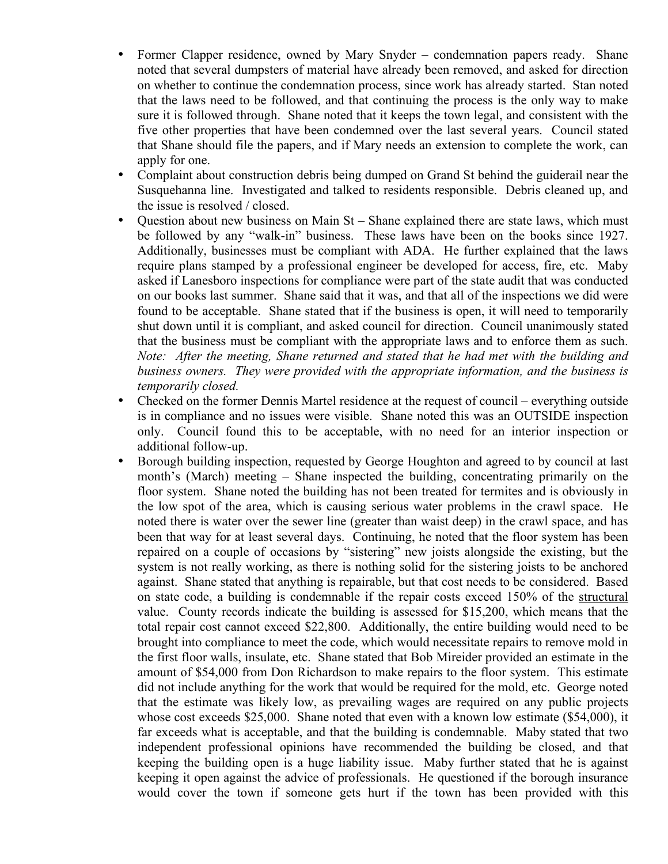- Former Clapper residence, owned by Mary Snyder condemnation papers ready. Shane noted that several dumpsters of material have already been removed, and asked for direction on whether to continue the condemnation process, since work has already started. Stan noted that the laws need to be followed, and that continuing the process is the only way to make sure it is followed through. Shane noted that it keeps the town legal, and consistent with the five other properties that have been condemned over the last several years. Council stated that Shane should file the papers, and if Mary needs an extension to complete the work, can apply for one.
- Complaint about construction debris being dumped on Grand St behind the guiderail near the Susquehanna line. Investigated and talked to residents responsible. Debris cleaned up, and the issue is resolved / closed.
- Question about new business on Main St Shane explained there are state laws, which must be followed by any "walk-in" business. These laws have been on the books since 1927. Additionally, businesses must be compliant with ADA. He further explained that the laws require plans stamped by a professional engineer be developed for access, fire, etc. Maby asked if Lanesboro inspections for compliance were part of the state audit that was conducted on our books last summer. Shane said that it was, and that all of the inspections we did were found to be acceptable. Shane stated that if the business is open, it will need to temporarily shut down until it is compliant, and asked council for direction. Council unanimously stated that the business must be compliant with the appropriate laws and to enforce them as such. *Note: After the meeting, Shane returned and stated that he had met with the building and business owners. They were provided with the appropriate information, and the business is temporarily closed.*
- Checked on the former Dennis Martel residence at the request of council everything outside is in compliance and no issues were visible. Shane noted this was an OUTSIDE inspection only. Council found this to be acceptable, with no need for an interior inspection or additional follow-up.
- Borough building inspection, requested by George Houghton and agreed to by council at last month's (March) meeting – Shane inspected the building, concentrating primarily on the floor system. Shane noted the building has not been treated for termites and is obviously in the low spot of the area, which is causing serious water problems in the crawl space. He noted there is water over the sewer line (greater than waist deep) in the crawl space, and has been that way for at least several days. Continuing, he noted that the floor system has been repaired on a couple of occasions by "sistering" new joists alongside the existing, but the system is not really working, as there is nothing solid for the sistering joists to be anchored against. Shane stated that anything is repairable, but that cost needs to be considered. Based on state code, a building is condemnable if the repair costs exceed 150% of the structural value. County records indicate the building is assessed for \$15,200, which means that the total repair cost cannot exceed \$22,800. Additionally, the entire building would need to be brought into compliance to meet the code, which would necessitate repairs to remove mold in the first floor walls, insulate, etc. Shane stated that Bob Mireider provided an estimate in the amount of \$54,000 from Don Richardson to make repairs to the floor system. This estimate did not include anything for the work that would be required for the mold, etc. George noted that the estimate was likely low, as prevailing wages are required on any public projects whose cost exceeds \$25,000. Shane noted that even with a known low estimate (\$54,000), it far exceeds what is acceptable, and that the building is condemnable. Maby stated that two independent professional opinions have recommended the building be closed, and that keeping the building open is a huge liability issue. Maby further stated that he is against keeping it open against the advice of professionals. He questioned if the borough insurance would cover the town if someone gets hurt if the town has been provided with this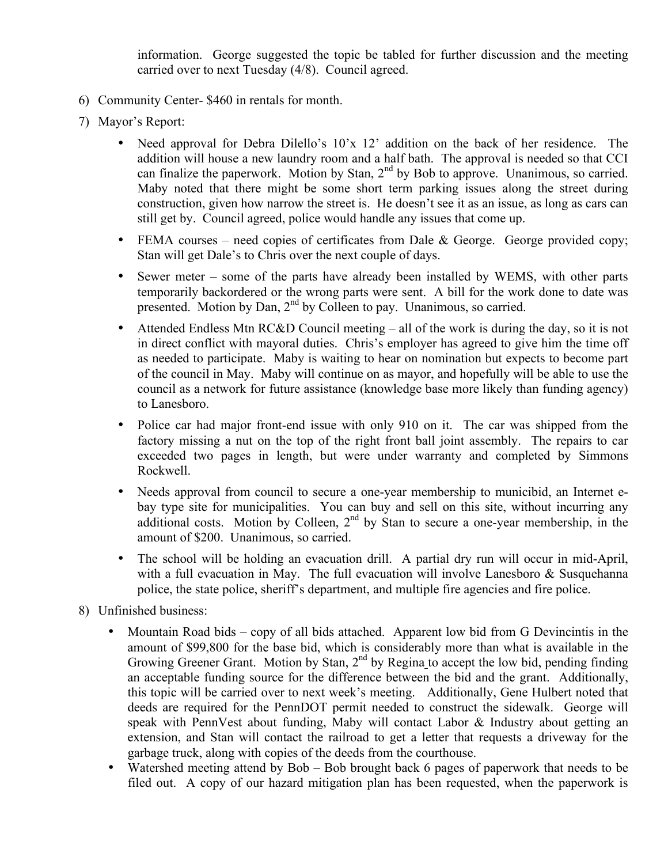information. George suggested the topic be tabled for further discussion and the meeting carried over to next Tuesday (4/8). Council agreed.

- 6) Community Center- \$460 in rentals for month.
- 7) Mayor's Report:
	- Need approval for Debra Dilello's  $10'x$  12' addition on the back of her residence. The addition will house a new laundry room and a half bath. The approval is needed so that CCI can finalize the paperwork. Motion by Stan, 2<sup>nd</sup> by Bob to approve. Unanimous, so carried. Maby noted that there might be some short term parking issues along the street during construction, given how narrow the street is. He doesn't see it as an issue, as long as cars can still get by. Council agreed, police would handle any issues that come up.
	- FEMA courses need copies of certificates from Dale & George. George provided copy; Stan will get Dale's to Chris over the next couple of days.
	- Sewer meter some of the parts have already been installed by WEMS, with other parts temporarily backordered or the wrong parts were sent. A bill for the work done to date was presented. Motion by Dan,  $2<sup>nd</sup>$  by Colleen to pay. Unanimous, so carried.
	- Attended Endless Mtn RC&D Council meeting all of the work is during the day, so it is not in direct conflict with mayoral duties. Chris's employer has agreed to give him the time off as needed to participate. Maby is waiting to hear on nomination but expects to become part of the council in May. Maby will continue on as mayor, and hopefully will be able to use the council as a network for future assistance (knowledge base more likely than funding agency) to Lanesboro.
	- Police car had major front-end issue with only 910 on it. The car was shipped from the factory missing a nut on the top of the right front ball joint assembly. The repairs to car exceeded two pages in length, but were under warranty and completed by Simmons Rockwell.
	- Needs approval from council to secure a one-year membership to municibid, an Internet ebay type site for municipalities. You can buy and sell on this site, without incurring any additional costs. Motion by Colleen, 2<sup>nd</sup> by Stan to secure a one-year membership, in the amount of \$200. Unanimous, so carried.
	- The school will be holding an evacuation drill. A partial dry run will occur in mid-April, with a full evacuation in May. The full evacuation will involve Lanesboro  $\&$  Susquehanna police, the state police, sheriff's department, and multiple fire agencies and fire police.
- 8) Unfinished business:
	- Mountain Road bids copy of all bids attached. Apparent low bid from G Devincintis in the amount of \$99,800 for the base bid, which is considerably more than what is available in the Growing Greener Grant. Motion by Stan, 2<sup>nd</sup> by Regina to accept the low bid, pending finding an acceptable funding source for the difference between the bid and the grant. Additionally, this topic will be carried over to next week's meeting. Additionally, Gene Hulbert noted that deeds are required for the PennDOT permit needed to construct the sidewalk. George will speak with PennVest about funding, Maby will contact Labor & Industry about getting an extension, and Stan will contact the railroad to get a letter that requests a driveway for the garbage truck, along with copies of the deeds from the courthouse.
	- Watershed meeting attend by Bob Bob brought back 6 pages of paperwork that needs to be filed out. A copy of our hazard mitigation plan has been requested, when the paperwork is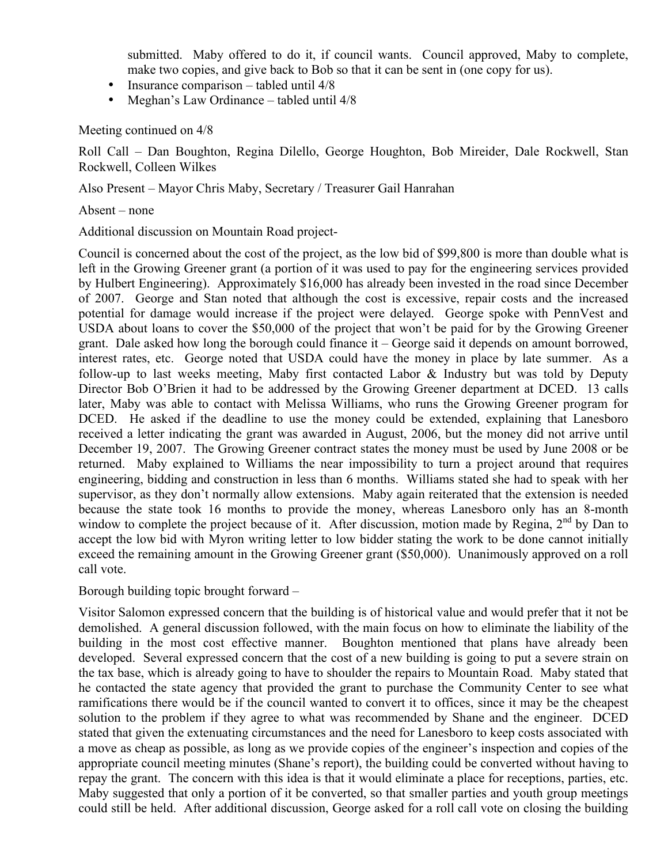submitted. Maby offered to do it, if council wants. Council approved, Maby to complete, make two copies, and give back to Bob so that it can be sent in (one copy for us).

- Insurance comparison tabled until  $4/8$
- Meghan's Law Ordinance tabled until  $4/8$

Meeting continued on 4/8

Roll Call – Dan Boughton, Regina Dilello, George Houghton, Bob Mireider, Dale Rockwell, Stan Rockwell, Colleen Wilkes

Also Present – Mayor Chris Maby, Secretary / Treasurer Gail Hanrahan

Absent – none

Additional discussion on Mountain Road project-

Council is concerned about the cost of the project, as the low bid of \$99,800 is more than double what is left in the Growing Greener grant (a portion of it was used to pay for the engineering services provided by Hulbert Engineering). Approximately \$16,000 has already been invested in the road since December of 2007. George and Stan noted that although the cost is excessive, repair costs and the increased potential for damage would increase if the project were delayed. George spoke with PennVest and USDA about loans to cover the \$50,000 of the project that won't be paid for by the Growing Greener grant. Dale asked how long the borough could finance it – George said it depends on amount borrowed, interest rates, etc. George noted that USDA could have the money in place by late summer. As a follow-up to last weeks meeting, Maby first contacted Labor & Industry but was told by Deputy Director Bob O'Brien it had to be addressed by the Growing Greener department at DCED. 13 calls later, Maby was able to contact with Melissa Williams, who runs the Growing Greener program for DCED. He asked if the deadline to use the money could be extended, explaining that Lanesboro received a letter indicating the grant was awarded in August, 2006, but the money did not arrive until December 19, 2007. The Growing Greener contract states the money must be used by June 2008 or be returned. Maby explained to Williams the near impossibility to turn a project around that requires engineering, bidding and construction in less than 6 months. Williams stated she had to speak with her supervisor, as they don't normally allow extensions. Maby again reiterated that the extension is needed because the state took 16 months to provide the money, whereas Lanesboro only has an 8-month window to complete the project because of it. After discussion, motion made by Regina,  $2<sup>nd</sup>$  by Dan to accept the low bid with Myron writing letter to low bidder stating the work to be done cannot initially exceed the remaining amount in the Growing Greener grant (\$50,000). Unanimously approved on a roll call vote.

Borough building topic brought forward –

Visitor Salomon expressed concern that the building is of historical value and would prefer that it not be demolished. A general discussion followed, with the main focus on how to eliminate the liability of the building in the most cost effective manner. Boughton mentioned that plans have already been developed. Several expressed concern that the cost of a new building is going to put a severe strain on the tax base, which is already going to have to shoulder the repairs to Mountain Road. Maby stated that he contacted the state agency that provided the grant to purchase the Community Center to see what ramifications there would be if the council wanted to convert it to offices, since it may be the cheapest solution to the problem if they agree to what was recommended by Shane and the engineer. DCED stated that given the extenuating circumstances and the need for Lanesboro to keep costs associated with a move as cheap as possible, as long as we provide copies of the engineer's inspection and copies of the appropriate council meeting minutes (Shane's report), the building could be converted without having to repay the grant. The concern with this idea is that it would eliminate a place for receptions, parties, etc. Maby suggested that only a portion of it be converted, so that smaller parties and youth group meetings could still be held. After additional discussion, George asked for a roll call vote on closing the building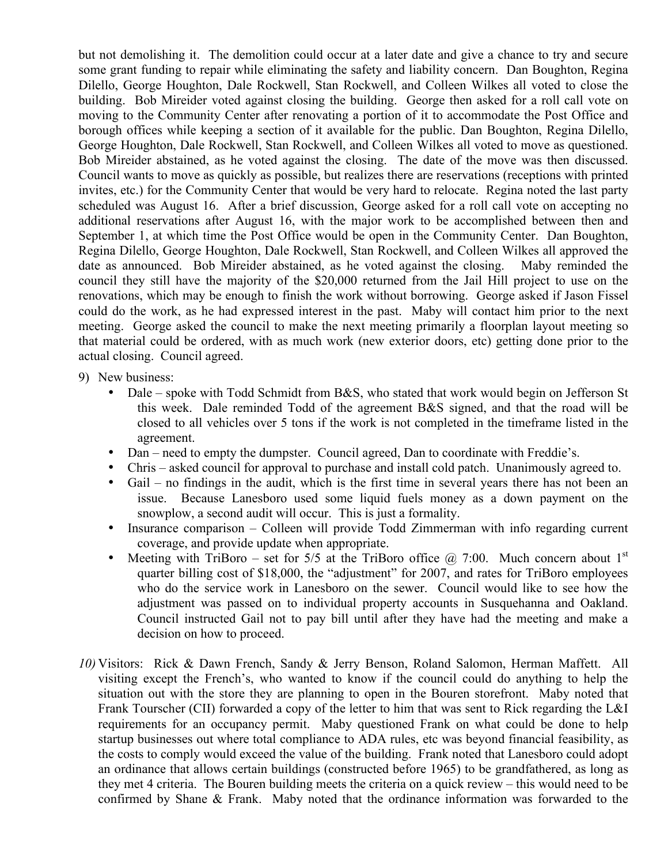but not demolishing it. The demolition could occur at a later date and give a chance to try and secure some grant funding to repair while eliminating the safety and liability concern. Dan Boughton, Regina Dilello, George Houghton, Dale Rockwell, Stan Rockwell, and Colleen Wilkes all voted to close the building. Bob Mireider voted against closing the building. George then asked for a roll call vote on moving to the Community Center after renovating a portion of it to accommodate the Post Office and borough offices while keeping a section of it available for the public. Dan Boughton, Regina Dilello, George Houghton, Dale Rockwell, Stan Rockwell, and Colleen Wilkes all voted to move as questioned. Bob Mireider abstained, as he voted against the closing. The date of the move was then discussed. Council wants to move as quickly as possible, but realizes there are reservations (receptions with printed invites, etc.) for the Community Center that would be very hard to relocate. Regina noted the last party scheduled was August 16. After a brief discussion, George asked for a roll call vote on accepting no additional reservations after August 16, with the major work to be accomplished between then and September 1, at which time the Post Office would be open in the Community Center. Dan Boughton, Regina Dilello, George Houghton, Dale Rockwell, Stan Rockwell, and Colleen Wilkes all approved the date as announced. Bob Mireider abstained, as he voted against the closing. Maby reminded the council they still have the majority of the \$20,000 returned from the Jail Hill project to use on the renovations, which may be enough to finish the work without borrowing. George asked if Jason Fissel could do the work, as he had expressed interest in the past. Maby will contact him prior to the next meeting. George asked the council to make the next meeting primarily a floorplan layout meeting so that material could be ordered, with as much work (new exterior doors, etc) getting done prior to the actual closing. Council agreed.

- 9) New business:
	- Dale spoke with Todd Schmidt from B&S, who stated that work would begin on Jefferson St this week. Dale reminded Todd of the agreement B&S signed, and that the road will be closed to all vehicles over 5 tons if the work is not completed in the timeframe listed in the agreement.
	- Dan need to empty the dumpster. Council agreed, Dan to coordinate with Freddie's.
	- Chris asked council for approval to purchase and install cold patch. Unanimously agreed to.
	- Gail no findings in the audit, which is the first time in several years there has not been an issue. Because Lanesboro used some liquid fuels money as a down payment on the snowplow, a second audit will occur. This is just a formality.
	- Insurance comparison Colleen will provide Todd Zimmerman with info regarding current coverage, and provide update when appropriate.
	- Meeting with TriBoro set for 5/5 at the TriBoro office  $\omega$  7:00. Much concern about 1<sup>st</sup> quarter billing cost of \$18,000, the "adjustment" for 2007, and rates for TriBoro employees who do the service work in Lanesboro on the sewer. Council would like to see how the adjustment was passed on to individual property accounts in Susquehanna and Oakland. Council instructed Gail not to pay bill until after they have had the meeting and make a decision on how to proceed.
- *10)* Visitors: Rick & Dawn French, Sandy & Jerry Benson, Roland Salomon, Herman Maffett. All visiting except the French's, who wanted to know if the council could do anything to help the situation out with the store they are planning to open in the Bouren storefront. Maby noted that Frank Tourscher (CII) forwarded a copy of the letter to him that was sent to Rick regarding the L&I requirements for an occupancy permit. Maby questioned Frank on what could be done to help startup businesses out where total compliance to ADA rules, etc was beyond financial feasibility, as the costs to comply would exceed the value of the building. Frank noted that Lanesboro could adopt an ordinance that allows certain buildings (constructed before 1965) to be grandfathered, as long as they met 4 criteria. The Bouren building meets the criteria on a quick review – this would need to be confirmed by Shane & Frank. Maby noted that the ordinance information was forwarded to the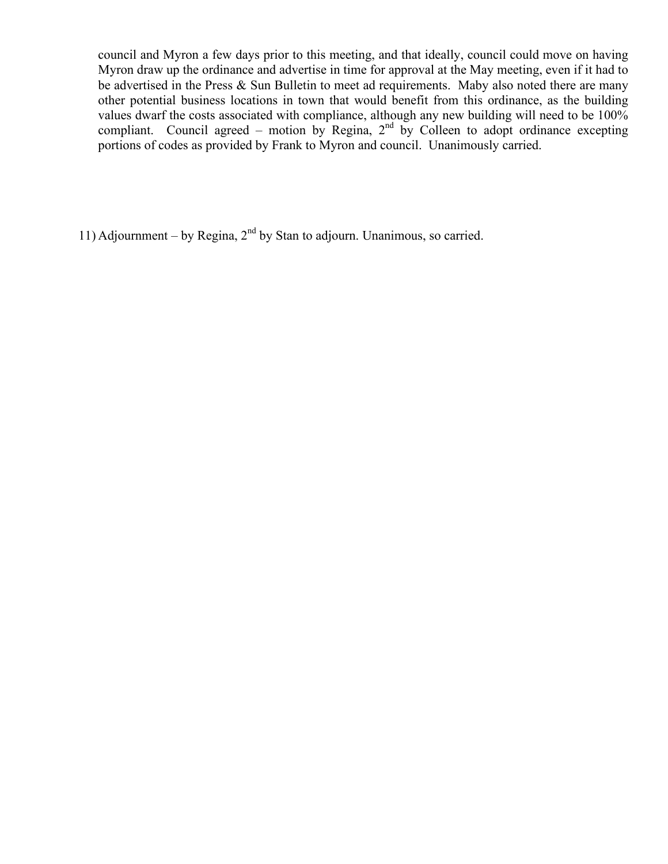council and Myron a few days prior to this meeting, and that ideally, council could move on having Myron draw up the ordinance and advertise in time for approval at the May meeting, even if it had to be advertised in the Press & Sun Bulletin to meet ad requirements. Maby also noted there are many other potential business locations in town that would benefit from this ordinance, as the building values dwarf the costs associated with compliance, although any new building will need to be 100% compliant. Council agreed – motion by Regina,  $2<sup>nd</sup>$  by Colleen to adopt ordinance excepting portions of codes as provided by Frank to Myron and council. Unanimously carried.

11) Adjournment – by Regina,  $2<sup>nd</sup>$  by Stan to adjourn. Unanimous, so carried.